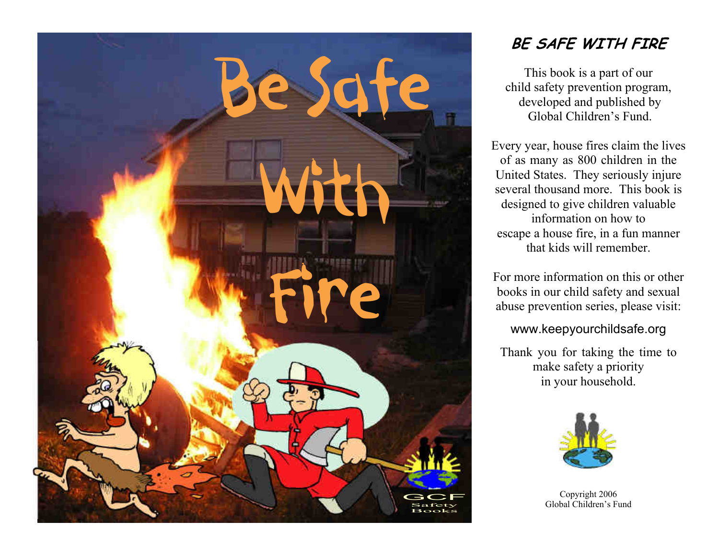

## **BE SAFE WITH FIRE**

This book is a part of our child safety prevention program, developed and published by Global Children's Fund.

Every year, house fires claim the lives of as many as 800 children in the United States. They seriously injure several thousand more. This book is designed to give children valuable information on how to escape a house fire, in a fun manner that kids will remember.

For more information on this or other books in our child safety and sexual abuse prevention series, please visit:

## www.keepyourchildsafe.org

Thank you for taking the time to make safety a priority in your household.



Copyright 2006 Global Children's Fund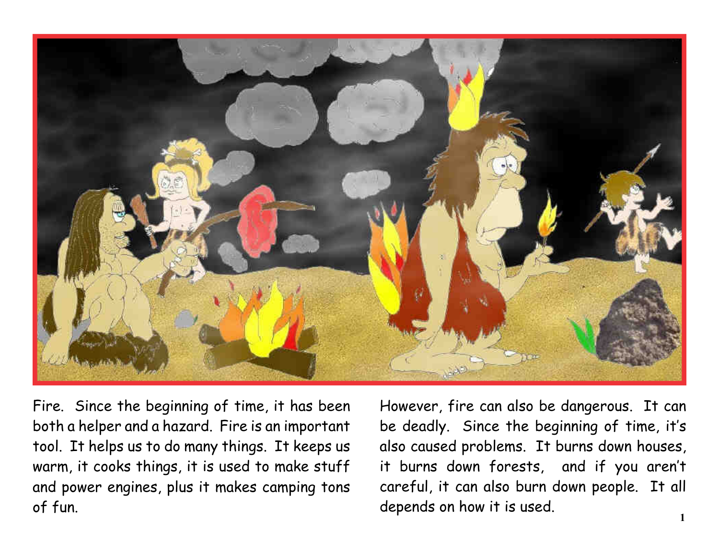

Fire. Since the beginning of time, it has been both a helper and a hazard. Fire is an important tool. It helps us to do many things. It keeps us warm, it cooks things, it is used to make stuff and power engines, plus it makes camping tons of fun.

However, fire can also be dangerous. It can be deadly. Since the beginning of time, it's also caused problems. It burns down houses, it burns down forests, and if you aren't careful, it can also burn down people. It all depends on how it is used.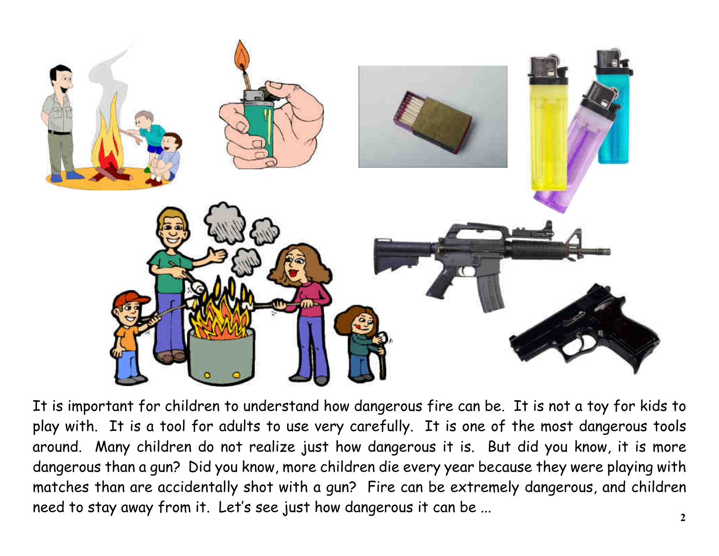

It is important for children to understand how dangerous fire can be. It is not a toy for kids to play with. It is a tool for adults to use very carefully. It is one of the most dangerous tools around. Many children do not realize just how dangerous it is. But did you know, it is more dangerous than a gun? Did you know, more children die every year because they were playing with matches than are accidentally shot with a gun? Fire can be extremely dangerous, and children need to stay away from it. Let's see just how dangerous it can be ...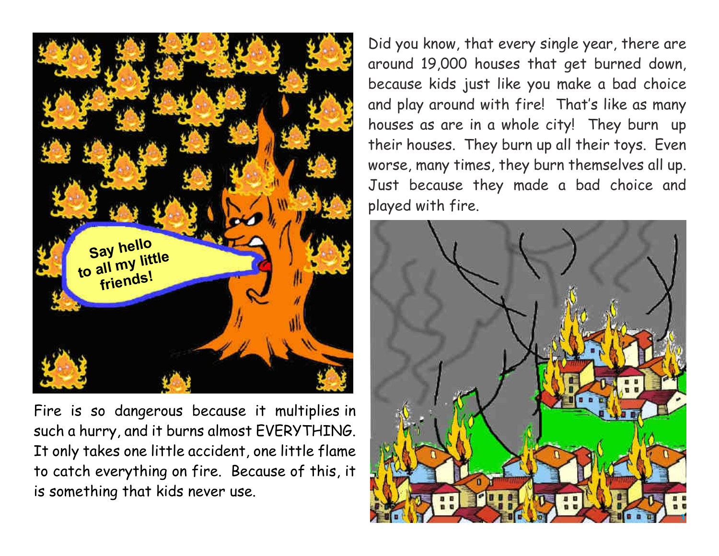

Fire is so dangerous because it multiplies in such a hurry, and it burns almost EVERYTHING. It only takes one little accident, one little flame to catch everything on fire. Because of this, it is something that kids never use.

Did you know, that every single year, there are around 19,000 houses that get burned down, because kids just like you make a bad choice and play around with fire! That's like as many houses as are in a whole city! They burn up their houses. They burn up all their toys. Even worse, many times, they burn themselves all up. Just because they made a bad choice and played with fire.

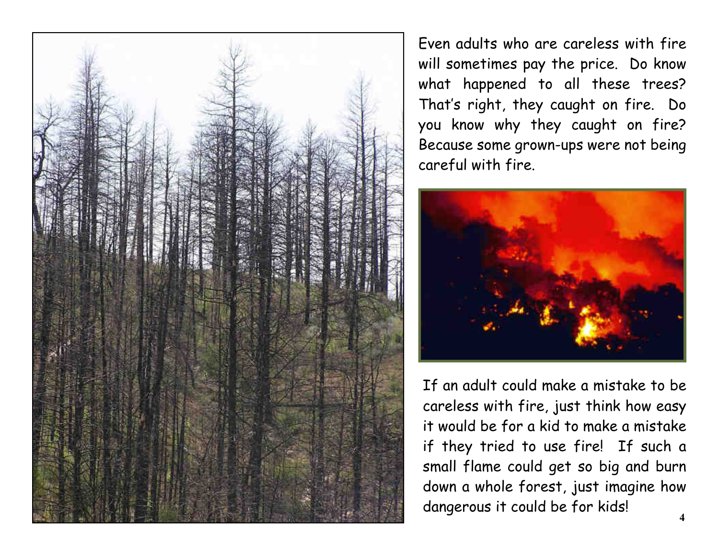

Even adults who are careless with fire will sometimes pay the price. Do know what happened to all these trees? That's right, they caught on fire. Do you know why they caught on fire? Because some grown-ups were not being careful with fire.



If an adult could make a mistake to be careless with fire, just think how easy it would be for a kid to make a mistake if they tried to use fire! If such a small flame could get so big and burn down a whole forest, just imagine how dangerous it could be for kids!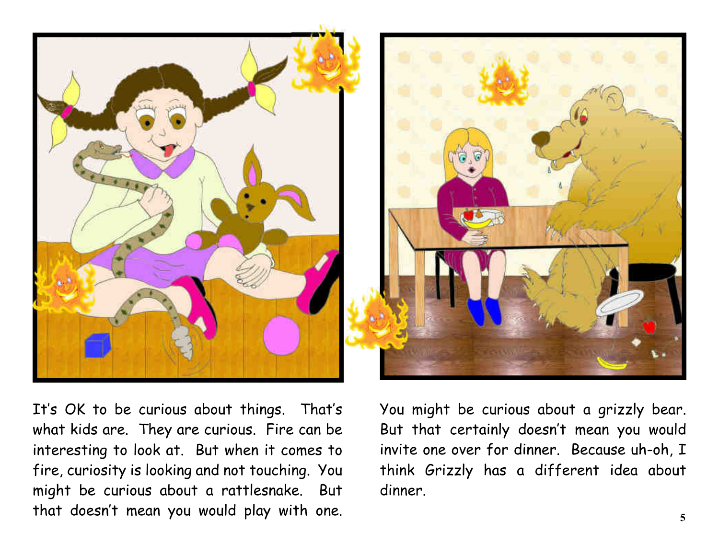

It's OK to be curious about things. That's what kids are. They are curious. Fire can be interesting to look at. But when it comes to fire, curiosity is looking and not touching. You might be curious about a rattlesnake. But that doesn't mean you would play with one.

You might be curious about a grizzly bear. But that certainly doesn't mean you would invite one over for dinner. Because uh-oh, I think Grizzly has a different idea about dinner.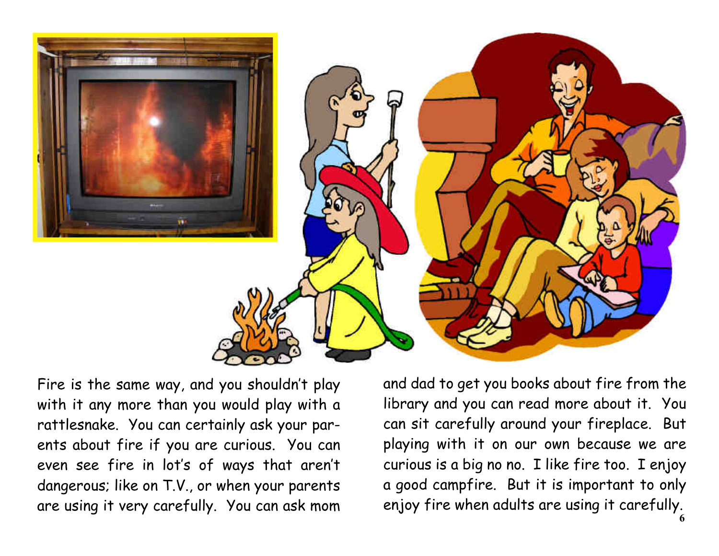

Fire is the same way, and you shouldn't play with it any more than you would play with a rattlesnake. You can certainly ask your par ents about fire if you are curious. You can even see fire in lot's of ways that aren't dangerous; like on T.V., or when your parents are using it very carefully. You can ask mom and dad to get you books about fire from the library and you can read more about it. You can sit carefully around your fireplace. But playing with it on our own because we are curious is a big no no. I like fire too. I enjoy a good campfire. But it is important to only enjoy fire when adults are using it carefully. **6**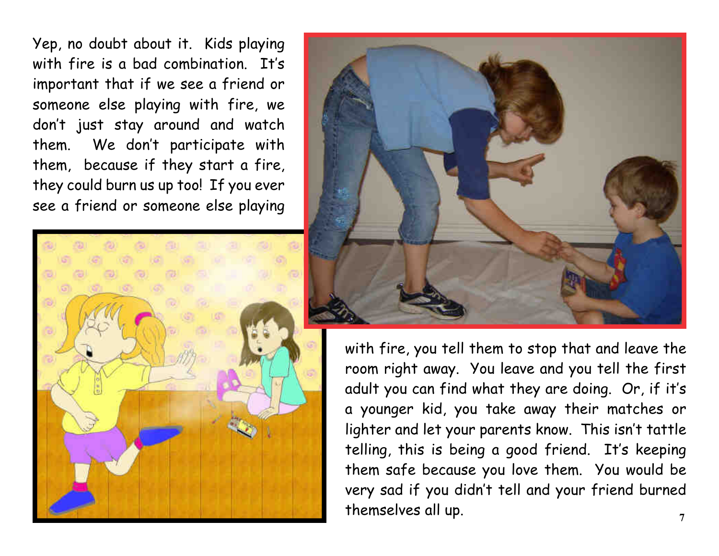Yep, no doubt about it. Kids playing with fire is a bad combination. It's important that if we see a friend or someone else playing with fire, we don't just stay around and watch them. We don't participate with them, because if they start a fire, they could burn us up too! If you ever see a friend or someone else playing





with fire, you tell them to stop that and leave the room right away. You leave and you tell the first adult you can find what they are doing. Or, if it's a younger kid, you take away their matches or lighter and let your parents know. This isn't tattle telling, this is being a good friend. It's keeping them safe because you love them. You would be very sad if you didn't tell and your friend burned themselves all up. **7**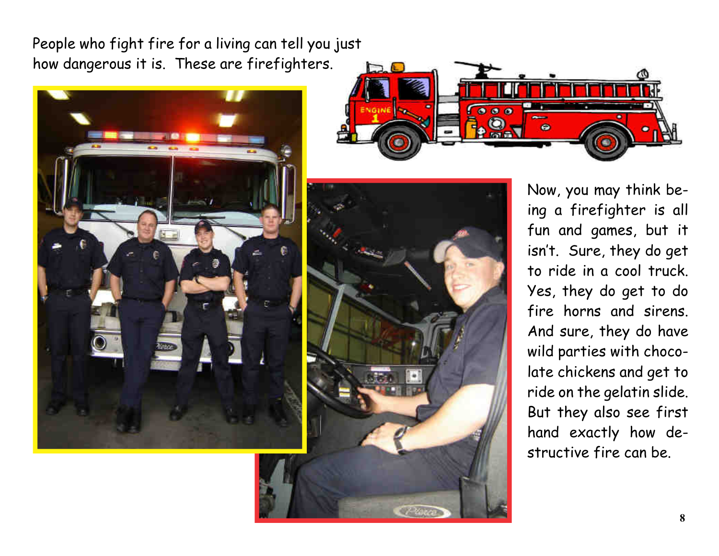People who fight fire for a living can tell you just how dangerous it is. These are firefighters.







Now, you may think be ing a firefighter is all fun and games, but it isn't. Sure, they do get to ride in a cool truck. Yes, they do get to do fire horns and sirens. And sure, they do have wild parties with choco late chickens and get to ride on the gelatin slide. But they also see first hand exactly how de structive fire can be.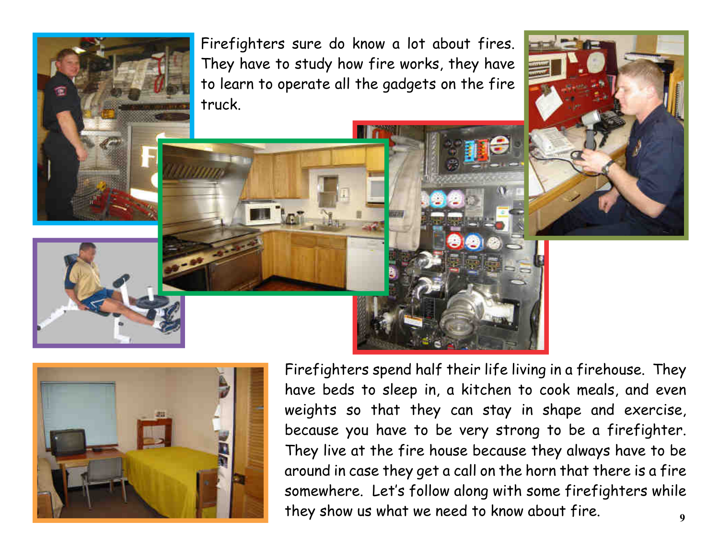Firefighters sure do know a lot about fires. They have to study how fire works, they have to learn to operate all the gadgets on the fire truck.



Firefighters spend half their life living in a firehouse. They have beds to sleep in, a kitchen to cook meals, and even weights so that they can stay in shape and exercise, because you have to be very strong to be a firefighter. They live at the fire house because they always have to be around in case they get a call on the horn that there is a fire somewhere. Let's follow along with some firefighters while they show us what we need to know about fire. **9**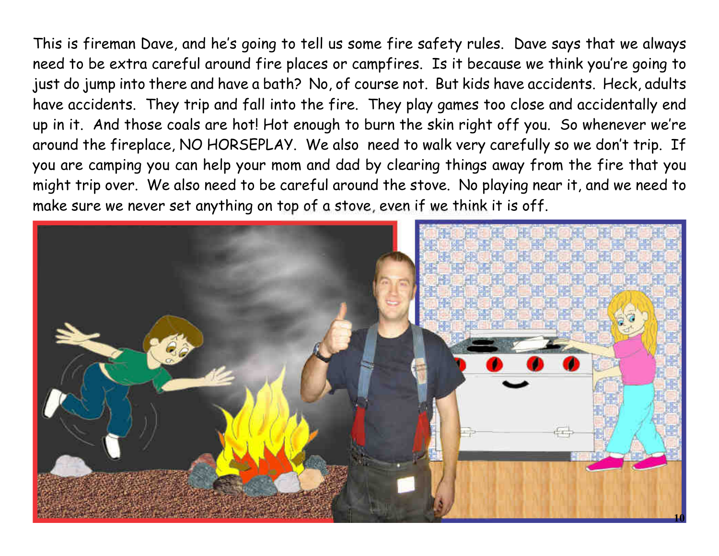This is fireman Dave, and he's going to tell us some fire safety rules. Dave says that we always need to be extra careful around fire places or campfires. Is it because we think you're going to just do jump into there and have a bath? No, of course not. But kids have accidents. Heck, adults have accidents. They trip and fall into the fire. They play games too close and accidentally end up in it. And those coals are hot! Hot enough to burn the skin right off you. So whenever we're around the fireplace, NO HORSEPLAY. We also need to walk very carefully so we don't trip. If you are camping you can help your mom and dad by clearing things away from the fire that you might trip over. We also need to be careful around the stove. No playing near it, and we need to make sure we never set anything on top of a stove, even if we think it is off.

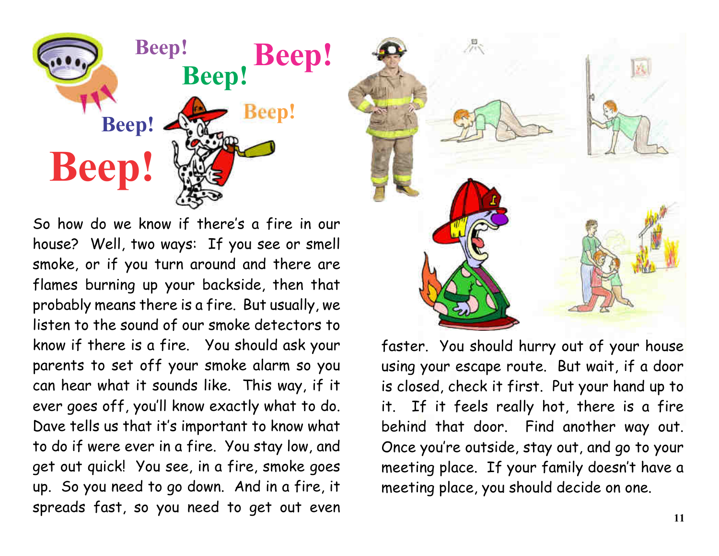

So how do we know if there's a fire in our house? Well, two ways: If you see or smell smoke, or if you turn around and there are flames burning up your backside, then that probably means there is a fire. But usually, we listen to the sound of our smoke detectors to know if there is a fire. You should ask your parents to set off your smoke alarm so you can hear what it sounds like. This way, if it ever goes off, you'll know exactly what to do. Dave tells us that it's important to know what to do if were ever in a fire. You stay low, and get out quick! You see, in a fire, smoke goes up. So you need to go down. And in a fire, it spreads fast, so you need to get out even



faster. You should hurry out of your house using your escape route. But wait, if a door is closed, check it first. Put your hand up to it. If it feels really hot, there is a fire behind that door. Find another way out. Once you're outside, stay out, and go to your meeting place. If your family doesn't have a meeting place, you should decide on one.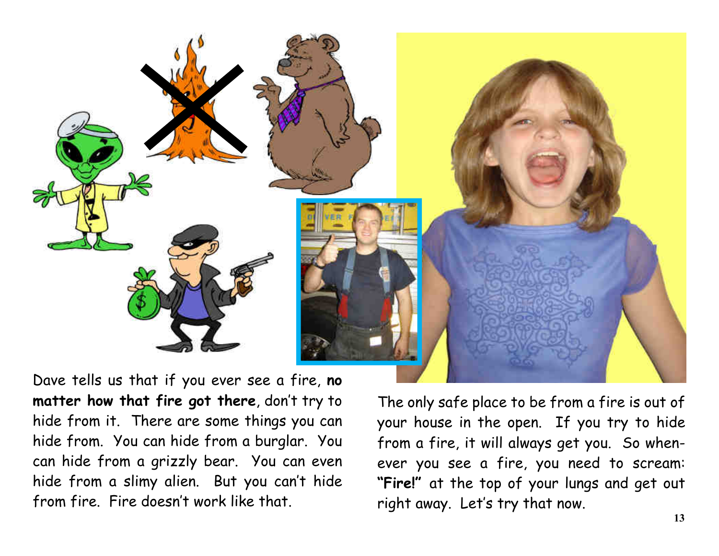

Dave tells us that if you ever see a fire,**no matter how that fire got there**, don't try to hide from it. There are some things you can hide from. You can hide from a burglar. You can hide from a grizzly bear. You can even hide from a slimy alien. But you can't hide from fire. Fire doesn't work like that.

The only safe place to be from a fire is out of your house in the open. If you try to hide from a fire, it will always get you. So when ever you see a fire, you need to scream: **"Fire!"**at the top of your lungs and get out right away. Let's try that now.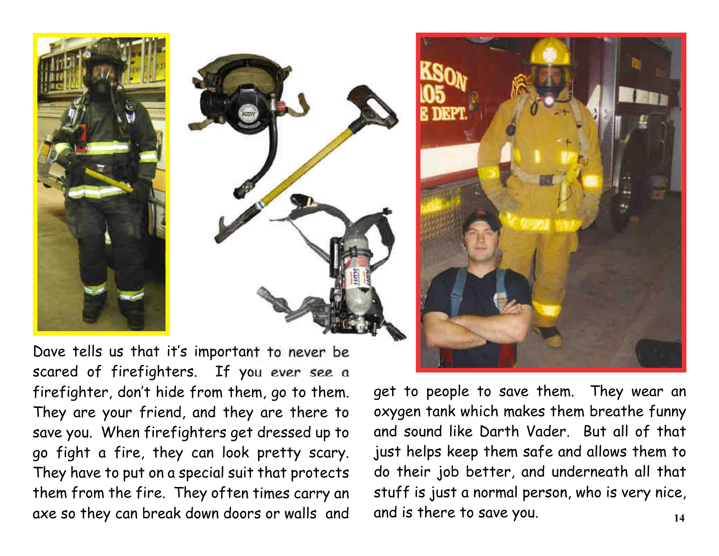



Dave tells us that it's important to never be scared of firefighters. If you ever see a firefighter, don't hide from them, go to them. They are your friend, and they are there to save you. When firefighters get dressed up to go fight a fire, they can look pretty scary. They have to put on a special suit that protects them from the fire. They often times carry an axe so they can break down doors or walls and



get to people to save them. They wear an oxygen tank which makes them breathe funny and sound like Darth Vader. But all of that just helps keep them safe and allows them to do their job better, and underneath all that stuff is just a normal person, who is very nice, and is there to save you. **14**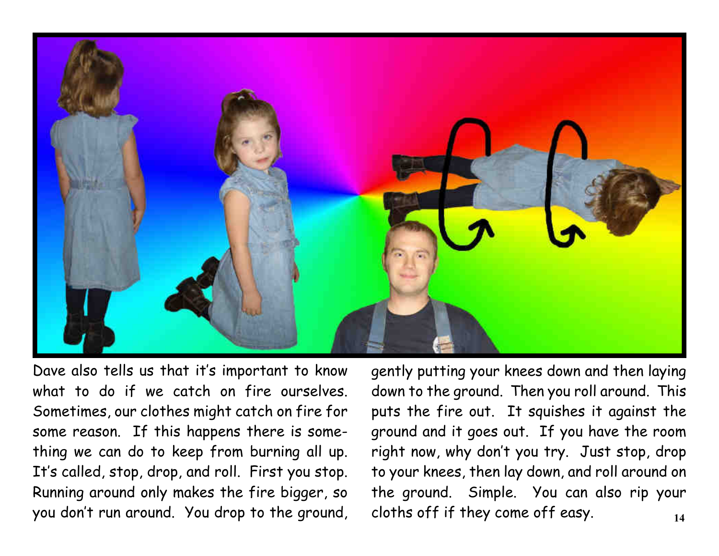

Dave also tells us that it's important to know what to do if we catch on fire ourselves. Sometimes, our clothes might catch on fire for some reason. If this happens there is some thing we can do to keep from burning all up. It's called, stop, drop, and roll. First you stop. Running around only makes the fire bigger, so you don't run around. You drop to the ground, gently putting your knees down and then laying down to the ground. Then you roll around. This puts the fire out. It squishes it against the ground and it goes out. If you have the room right now, why don't you try. Just stop, drop to your knees, then lay down, and roll around on the ground. Simple. You can also rip your cloths off if they come off easy. **14**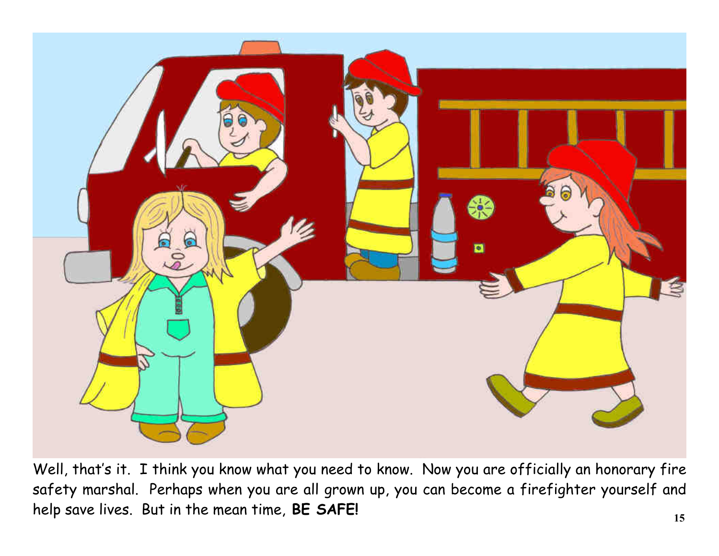

Well, that's it. I think you know what you need to know. Now you are officially an honorary fire safety marshal. Perhaps when you are all grown up, you can become a firefighter yourself and help save lives. But in the mean time, **BE SAFE! 15**